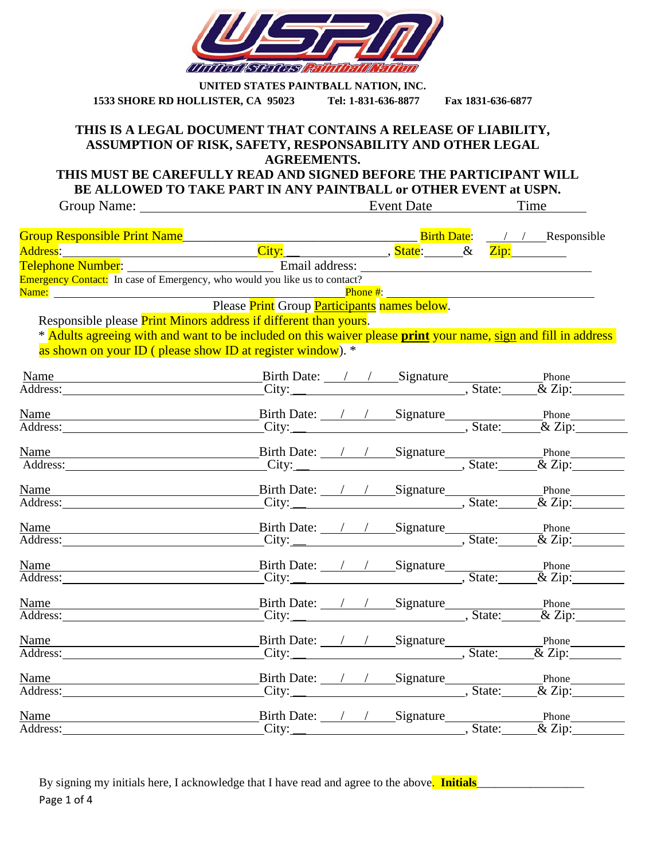

| UNITED STATES PAINTBALL NATION, INC. |                     |                   |  |  |  |  |
|--------------------------------------|---------------------|-------------------|--|--|--|--|
| 1533 SHORE RD HOLLISTER, CA 95023    | Tel: 1-831-636-8877 | Fax 1831-636-6877 |  |  |  |  |

#### **THIS IS A LEGAL DOCUMENT THAT CONTAINS A RELEASE OF LIABILITY, ASSUMPTION OF RISK, SAFETY, RESPONSABILITY AND OTHER LEGAL AGREEMENTS.**

**THIS MUST BE CAREFULLY READ AND SIGNED BEFORE THE PARTICIPANT WILL BE ALLOWED TO TAKE PART IN ANY PAINTBALL or OTHER EVENT at USPN.**

| Group Name: <u>and the contract of the set of the set of the set of the set of the set of the set of the set of the set of the set of the set of the set of the set of the set of the set of the set of the set of the set of th</u> | DE ALLOWED TO TAKE FAKT IN ANT FAINTDALL OF OTHER EVENT AFOSI N.<br>Event Date |  | Time |
|--------------------------------------------------------------------------------------------------------------------------------------------------------------------------------------------------------------------------------------|--------------------------------------------------------------------------------|--|------|
|                                                                                                                                                                                                                                      |                                                                                |  |      |
|                                                                                                                                                                                                                                      |                                                                                |  |      |
|                                                                                                                                                                                                                                      |                                                                                |  |      |
| Emergency Contact: In case of Emergency, who would you like us to contact?                                                                                                                                                           |                                                                                |  |      |
| Name: <u>Name:</u> Name: Name: Name: Name: Name: Name: Name: Name: Name: Name: Name: Name: Name: Name: Name: Name: Name: Name: Name: Name: Name: Name: Name: Name: Name: Name: Name: Name: Name: Name: Name: Name: Name: Name: Name  |                                                                                |  |      |
|                                                                                                                                                                                                                                      |                                                                                |  |      |
| Responsible please <b>Print Minors address if different than yours</b> .                                                                                                                                                             |                                                                                |  |      |
| * Adults agreeing with and want to be included on this waiver please print your name, sign and fill in address                                                                                                                       |                                                                                |  |      |
| as shown on your ID (please show ID at register window). *                                                                                                                                                                           |                                                                                |  |      |
|                                                                                                                                                                                                                                      |                                                                                |  |      |
| Name Birth Date: / / Signature Phone Phone Phone Phone Phone Phone Phone Phone Phone Phone Phone Phone Phone Phone Phone Phone Phone Phone Phone Phone Phone Phone Phone Phone Phone Phone Phone Phone Phone Phone Phone Phone       |                                                                                |  |      |
|                                                                                                                                                                                                                                      |                                                                                |  |      |
| Name Birth Date: / / Signature Phone Phone Phone Phone Phone Phone Phone Phone Phone Phone Phone Phone Phone Phone Phone Phone Phone Phone Phone Phone Phone Phone Phone Phone Phone Phone Phone Phone Phone Phone Phone Phone       |                                                                                |  |      |
|                                                                                                                                                                                                                                      |                                                                                |  |      |
| Name Birth Date: / / Signature Phone Phone Phone Phone Phone Phone Phone Phone Phone Phone Phone Phone Phone Phone Phone Phone Phone Phone Phone Phone Phone Phone Phone Phone Phone Phone Phone Phone Phone Phone Phone Phone       |                                                                                |  |      |
|                                                                                                                                                                                                                                      |                                                                                |  |      |
| Name                                                                                                                                                                                                                                 |                                                                                |  |      |
| Address:                                                                                                                                                                                                                             |                                                                                |  |      |
|                                                                                                                                                                                                                                      |                                                                                |  |      |
| Name Birth Date: / / Signature Phone Phone Phone Phone Phone Phone Phone Phone Phone Phone Phone Phone Phone Phone Phone Phone Phone Phone Phone Phone Phone Phone Phone Phone Phone Phone Phone Phone Phone Phone Phone Phone       |                                                                                |  |      |
|                                                                                                                                                                                                                                      |                                                                                |  |      |
| Name Birth Date: <u>Signature Birth Date: / / Signature Signature Birth Date: (1) Signature Signature Signature Signature Signature Signature Signature Signature Signature Signature Signature Signature Signature Signature Si</u> |                                                                                |  |      |
|                                                                                                                                                                                                                                      |                                                                                |  |      |
|                                                                                                                                                                                                                                      |                                                                                |  |      |
| Name Birth Date: / / Signature Phone Phone Phone Phone Phone Phone Phone Phone Phone Phone Phone Phone Phone Phone Phone Phone Phone Phone Phone Phone Phone Phone Phone Phone Phone Phone Phone Phone Phone Phone Phone Phone       |                                                                                |  |      |
|                                                                                                                                                                                                                                      |                                                                                |  |      |
| Name                                                                                                                                                                                                                                 |                                                                                |  |      |
| Address:                                                                                                                                                                                                                             |                                                                                |  |      |
|                                                                                                                                                                                                                                      |                                                                                |  |      |
| Name Birth Date: / / Signature Phone Phone Phone Phone Phone Phone Phone Phone Phone Phone Phone Phone Phone Phone Phone Phone Phone Phone Phone Phone Phone Phone Phone Phone Phone Phone Phone Phone Phone Phone Phone Phone       |                                                                                |  |      |
|                                                                                                                                                                                                                                      |                                                                                |  |      |
| Name Birth Date: / / Signature Phone Phone Phone Phone Phone Phone Phone Phone Phone Phone City:                                                                                                                                     |                                                                                |  |      |
|                                                                                                                                                                                                                                      |                                                                                |  |      |

Page 1 of 4 By signing my initials here, I acknowledge that I have read and agree to the above. **Initials**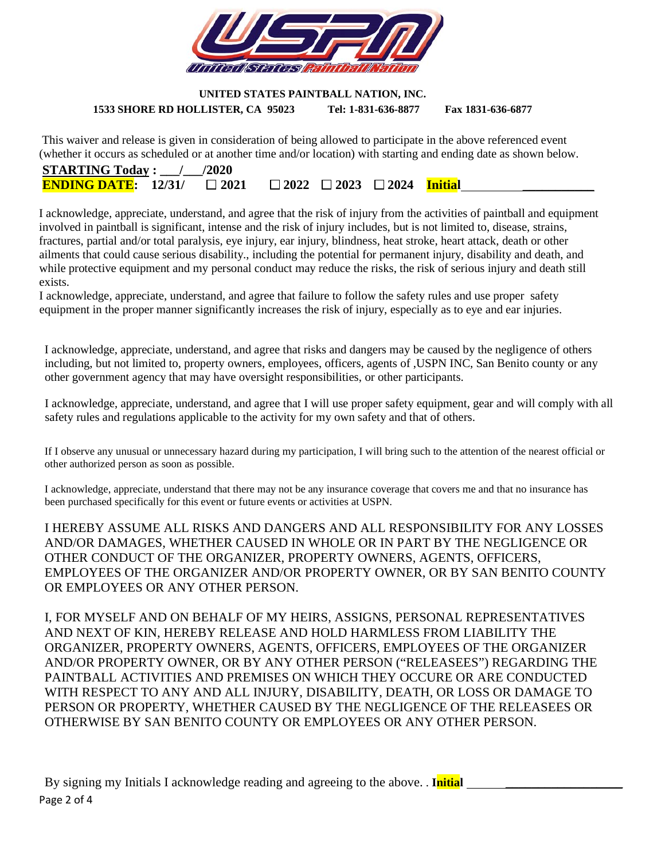

#### **UNITED STATES PAINTBALL NATION, INC. 1533 SHORE RD HOLLISTER, CA 95023 Tel: 1-831-636-8877 Fax 1831-636-6877**

This waiver and release is given in consideration of being allowed to participate in the above referenced event (whether it occurs as scheduled or at another time and/or location) with starting and ending date as shown below.

| <b>STARTING Today:</b> $/$ /2020                                                   |  |  |  |
|------------------------------------------------------------------------------------|--|--|--|
| <b>ENDING DATE:</b> 12/31/ $\Box$ 2021 $\Box$ 2022 $\Box$ 2023 $\Box$ 2024 Initial |  |  |  |

I acknowledge, appreciate, understand, and agree that the risk of injury from the activities of paintball and equipment involved in paintball is significant, intense and the risk of injury includes, but is not limited to, disease, strains, fractures, partial and/or total paralysis, eye injury, ear injury, blindness, heat stroke, heart attack, death or other ailments that could cause serious disability., including the potential for permanent injury, disability and death, and while protective equipment and my personal conduct may reduce the risks, the risk of serious injury and death still exists.

I acknowledge, appreciate, understand, and agree that failure to follow the safety rules and use proper safety equipment in the proper manner significantly increases the risk of injury, especially as to eye and ear injuries.

I acknowledge, appreciate, understand, and agree that risks and dangers may be caused by the negligence of others including, but not limited to, property owners, employees, officers, agents of ,USPN INC, San Benito county or any other government agency that may have oversight responsibilities, or other participants.

I acknowledge, appreciate, understand, and agree that I will use proper safety equipment, gear and will comply with all safety rules and regulations applicable to the activity for my own safety and that of others.

If I observe any unusual or unnecessary hazard during my participation, I will bring such to the attention of the nearest official or other authorized person as soon as possible.

I acknowledge, appreciate, understand that there may not be any insurance coverage that covers me and that no insurance has been purchased specifically for this event or future events or activities at USPN.

I HEREBY ASSUME ALL RISKS AND DANGERS AND ALL RESPONSIBILITY FOR ANY LOSSES AND/OR DAMAGES, WHETHER CAUSED IN WHOLE OR IN PART BY THE NEGLIGENCE OR OTHER CONDUCT OF THE ORGANIZER, PROPERTY OWNERS, AGENTS, OFFICERS, EMPLOYEES OF THE ORGANIZER AND/OR PROPERTY OWNER, OR BY SAN BENITO COUNTY OR EMPLOYEES OR ANY OTHER PERSON.

I, FOR MYSELF AND ON BEHALF OF MY HEIRS, ASSIGNS, PERSONAL REPRESENTATIVES AND NEXT OF KIN, HEREBY RELEASE AND HOLD HARMLESS FROM LIABILITY THE ORGANIZER, PROPERTY OWNERS, AGENTS, OFFICERS, EMPLOYEES OF THE ORGANIZER AND/OR PROPERTY OWNER, OR BY ANY OTHER PERSON ("RELEASEES") REGARDING THE PAINTBALL ACTIVITIES AND PREMISES ON WHICH THEY OCCURE OR ARE CONDUCTED WITH RESPECT TO ANY AND ALL INJURY, DISABILITY, DEATH, OR LOSS OR DAMAGE TO PERSON OR PROPERTY, WHETHER CAUSED BY THE NEGLIGENCE OF THE RELEASEES OR OTHERWISE BY SAN BENITO COUNTY OR EMPLOYEES OR ANY OTHER PERSON.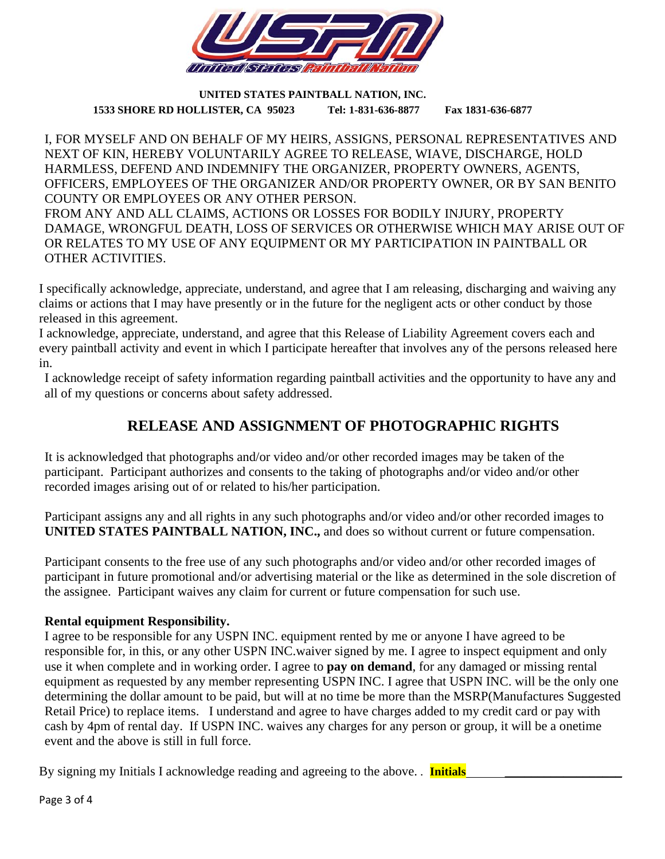

**UNITED STATES PAINTBALL NATION, INC. 1533 SHORE RD HOLLISTER, CA 95023 Tel: 1-831-636-8877 Fax 1831-636-6877**

I, FOR MYSELF AND ON BEHALF OF MY HEIRS, ASSIGNS, PERSONAL REPRESENTATIVES AND NEXT OF KIN, HEREBY VOLUNTARILY AGREE TO RELEASE, WIAVE, DISCHARGE, HOLD HARMLESS, DEFEND AND INDEMNIFY THE ORGANIZER, PROPERTY OWNERS, AGENTS, OFFICERS, EMPLOYEES OF THE ORGANIZER AND/OR PROPERTY OWNER, OR BY SAN BENITO COUNTY OR EMPLOYEES OR ANY OTHER PERSON.

FROM ANY AND ALL CLAIMS, ACTIONS OR LOSSES FOR BODILY INJURY, PROPERTY DAMAGE, WRONGFUL DEATH, LOSS OF SERVICES OR OTHERWISE WHICH MAY ARISE OUT OF OR RELATES TO MY USE OF ANY EQUIPMENT OR MY PARTICIPATION IN PAINTBALL OR OTHER ACTIVITIES.

I specifically acknowledge, appreciate, understand, and agree that I am releasing, discharging and waiving any claims or actions that I may have presently or in the future for the negligent acts or other conduct by those released in this agreement.

I acknowledge, appreciate, understand, and agree that this Release of Liability Agreement covers each and every paintball activity and event in which I participate hereafter that involves any of the persons released here in.

I acknowledge receipt of safety information regarding paintball activities and the opportunity to have any and all of my questions or concerns about safety addressed.

# **RELEASE AND ASSIGNMENT OF PHOTOGRAPHIC RIGHTS**

It is acknowledged that photographs and/or video and/or other recorded images may be taken of the participant. Participant authorizes and consents to the taking of photographs and/or video and/or other recorded images arising out of or related to his/her participation.

Participant assigns any and all rights in any such photographs and/or video and/or other recorded images to **UNITED STATES PAINTBALL NATION, INC.,** and does so without current or future compensation.

Participant consents to the free use of any such photographs and/or video and/or other recorded images of participant in future promotional and/or advertising material or the like as determined in the sole discretion of the assignee. Participant waives any claim for current or future compensation for such use.

### **Rental equipment Responsibility.**

I agree to be responsible for any USPN INC. equipment rented by me or anyone I have agreed to be responsible for, in this, or any other USPN INC.waiver signed by me. I agree to inspect equipment and only use it when complete and in working order. I agree to **pay on demand**, for any damaged or missing rental equipment as requested by any member representing USPN INC. I agree that USPN INC. will be the only one determining the dollar amount to be paid, but will at no time be more than the MSRP(Manufactures Suggested Retail Price) to replace items. I understand and agree to have charges added to my credit card or pay with cash by 4pm of rental day. If USPN INC. waives any charges for any person or group, it will be a onetime event and the above is still in full force.

By signing my Initials I acknowledge reading and agreeing to the above. . **Initials** 

Page 3 of 4